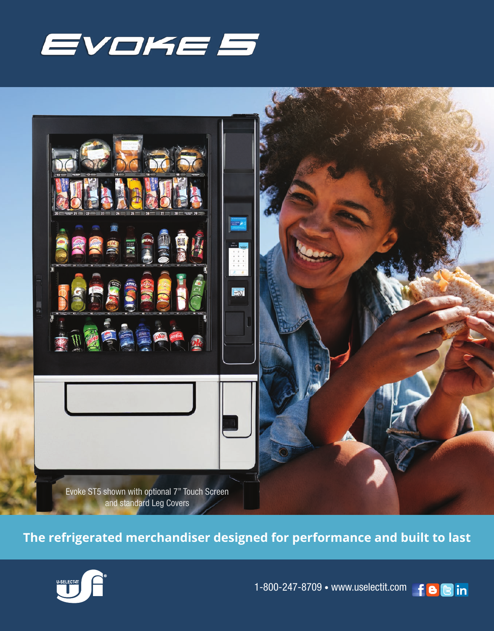



**The refrigerated merchandiser designed for performance and built to last**



1-800-247-8709 • www.uselectit.com f 88 in